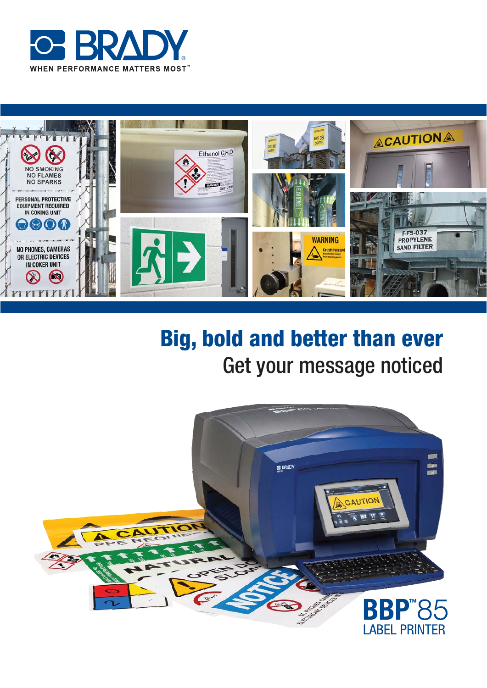



# **Big, bold and better than ever** Get your message noticed

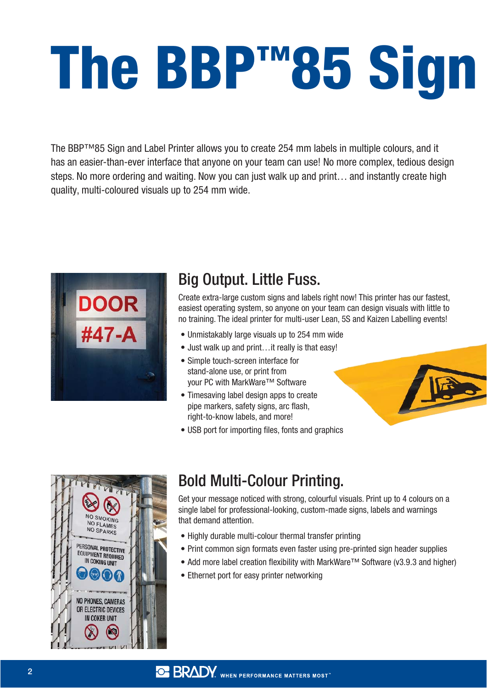# **The BBP™85 Sign**

The BBP™85 Sign and Label Printer allows you to create 254 mm labels in multiple colours, and it has an easier-than-ever interface that anyone on your team can use! No more complex, tedious design steps. No more ordering and waiting. Now you can just walk up and print… and instantly create high quality, multi-coloured visuals up to 254 mm wide.



# Big Output. Little Fuss.

Create extra-large custom signs and labels right now! This printer has our fastest, easiest operating system, so anyone on your team can design visuals with little to no training. The ideal printer for multi-user Lean, 5S and Kaizen Labelling events!

- Unmistakably large visuals up to 254 mm wide
- Just walk up and print…it really is that easy!
- Simple touch-screen interface for stand-alone use, or print from your PC with MarkWare™ Software
- Timesaving label design apps to create pipe markers, safety signs, arc flash, right-to-know labels, and more!
- USB port for importing files, fonts and graphics



# Bold Multi-Colour Printing.

Get your message noticed with strong, colourful visuals. Print up to 4 colours on a single label for professional-looking, custom-made signs, labels and warnings that demand attention.

- Highly durable multi-colour thermal transfer printing
- Print common sign formats even faster using pre-printed sign header supplies
- Add more label creation flexibility with MarkWare™ Software (v3.9.3 and higher)
- Ethernet port for easy printer networking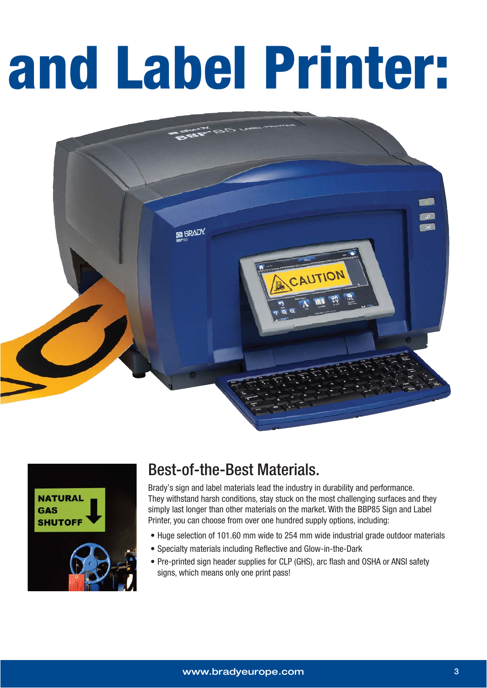# **and Label Printer:**





# Best-of-the-Best Materials.

Brady's sign and label materials lead the industry in durability and performance. They withstand harsh conditions, stay stuck on the most challenging surfaces and they simply last longer than other materials on the market. With the BBP85 Sign and Label Printer, you can choose from over one hundred supply options, including:

- Huge selection of 101.60 mm wide to 254 mm wide industrial grade outdoor materials
- Specialty materials including Reflective and Glow-in-the-Dark
- Pre-printed sign header supplies for CLP (GHS), arc flash and OSHA or ANSI safety signs, which means only one print pass!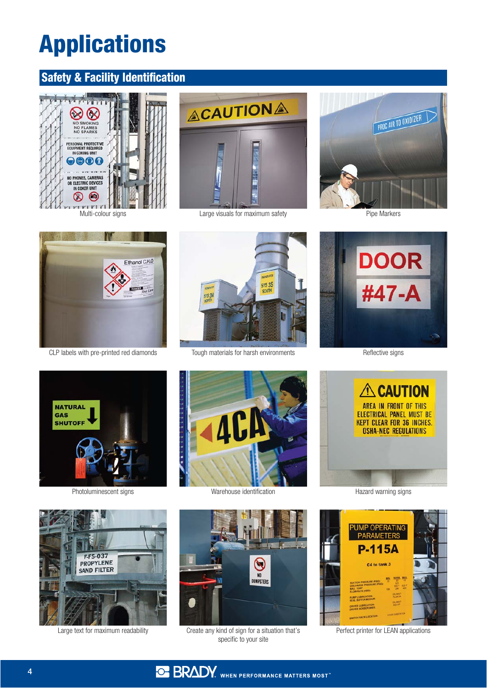# **Applications**

#### **Safety & Facility Identification**





Multi-colour signs **Example 2018** Large visuals for maximum safety Pipe Markers





CLP labels with pre-printed red diamonds Tough materials for harsh environments Reflective signs













Large text for maximum readability Create any kind of sign for a situation that's specific to your site





Perfect printer for LEAN applications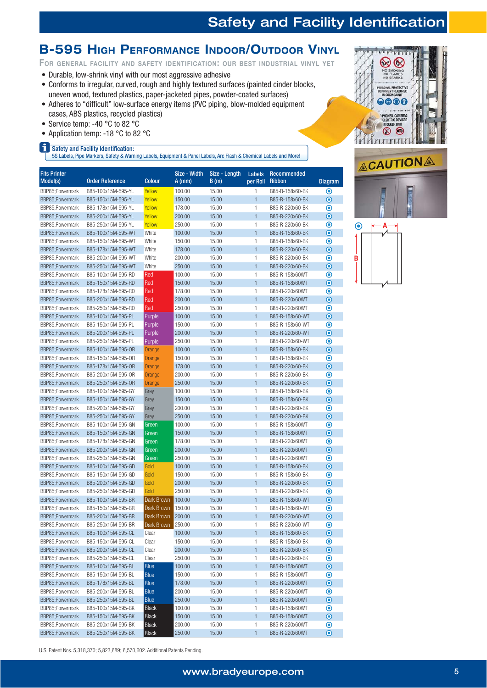#### **B-595 HIGH PERFORMANCE INDOOR/OUTDOOR VINYL**

FOR GENERAL FACILITY AND SAFETY IDENTIFICATION: OUR BEST INDUSTRIAL VINYL YET

- Durable, low-shrink vinyl with our most aggressive adhesive
- Conforms to irregular, curved, rough and highly textured surfaces (painted cinder blocks, uneven wood, textured plastics, paper-jacketed pipes, powder-coated surfaces)
- Adheres to "difficult" low-surface energy items (PVC piping, blow-molded equipment cases, ABS plastics, recycled plastics)
- Service temp: -40  $^{\circ}$ C to 82  $^{\circ}$ C
- Application temp: -18  $^{\circ}$ C to 82  $^{\circ}$ C
- Safety and Facility Identification:

6/DEHOV3DIHLET LEHOV3DIHLET.<br>6/DEHOV3DIALGDIHWARTS, Safety & Warning Labels, Equipment & Panel Labels, Arc Flash & Chemical Labels and More

| <b>Fits Printer</b><br>Model(s)    | <b>Order Reference</b> | Colour       | Size - Width<br>$A$ (mm) | Size - Length<br>B(m) | <b>Labels</b><br>per Roll | Recommended<br><b>Ribbon</b> | <b>Diagram</b>                |
|------------------------------------|------------------------|--------------|--------------------------|-----------------------|---------------------------|------------------------------|-------------------------------|
| BBP85:Powermark                    | B85-100x15M-595-YL     | Yellow       | 100.00                   | 15.00                 | 1                         | B85-R-158x60-BK              | $\boldsymbol{\odot}$          |
| BBP85;Powermark                    | B85-150x15M-595-YL     | Yellow       | 150.00                   | 15.00                 | $\mathbf{1}$              | B85-R-158x60-BK              | $\bullet$                     |
| BBP85;Powermark                    | B85-178x15M-595-YL     | Yellow       | 178.00                   | 15.00                 | 1                         | B85-R-220x60-BK              | $\bullet$                     |
| BBP85:Powermark                    | B85-200x15M-595-YL     | Yellow       | 200.00                   | 15.00                 | $\mathbf{1}$              | B85-R-220x60-BK              | $\bullet$                     |
| BBP85;Powermark                    | B85-250x15M-595-YL     | Yellow       | 250.00                   | 15.00                 | 1                         | B85-R-220x60-BK              | $\boldsymbol{\circledcirc}$   |
| BBP85;Powermark                    | B85-100x15M-595-WT     | White        | 100.00                   | 15.00                 | $\mathbf{1}$              | B85-R-158x60-BK              | $\bullet$                     |
| BBP85;Powermark                    | B85-150x15M-595-WT     | White        | 150.00                   | 15.00                 | 1                         | B85-R-158x60-BK              | $\bullet$                     |
| BBP85:Powermark                    | B85-178x15M-595-WT     | White        | 178.00                   | 15.00                 | $\mathbf{1}$              | B85-R-220x60-BK              | $\bullet$                     |
| BBP85;Powermark                    | B85-200x15M-595-WT     | White        | 200.00                   | 15.00                 | 1                         | B85-R-220x60-BK              | $\boldsymbol{\circ}$          |
| BBP85;Powermark                    | B85-250x15M-595-WT     | White        | 250.00                   | 15.00                 | $\mathbf{1}$              | B85-R-220x60-BK              | $\bullet$                     |
| BBP85;Powermark                    | B85-100x15M-595-RD     | Red          | 100.00                   | 15.00                 | 1                         | B85-R-158x60WT               | $\circledcirc$                |
| BBP85;Powermark                    | B85-150x15M-595-RD     | Red          | 150.00                   | 15.00                 | $\mathbf{1}$              | B85-R-158x60WT               | $\bullet$                     |
| BBP85;Powermark                    | B85-178x15M-595-RD     | Red          | 178.00                   | 15.00                 | 1                         | B85-R-220x60WT               | $\bullet$                     |
| BBP85;Powermark                    | B85-200x15M-595-RD     | Red          | 200.00                   | 15.00                 | $\mathbf{1}$              | B85-R-220x60WT               | $\bullet$                     |
| BBP85;Powermark                    | B85-250x15M-595-RD     | Red          | 250.00                   | 15.00                 | 1                         | B85-R-220x60WT               | $\boldsymbol{\odot}$          |
| BBP85;Powermark                    | B85-100x15M-595-PL     | Purple       | 100.00                   | 15.00                 | $\mathbf{1}$              | B85-R-158x60-WT              | $\bullet$                     |
| BBP85:Powermark                    | B85-150x15M-595-PL     | Purple       | 150.00                   | 15.00                 | 1                         | B85-R-158x60-WT              | $\bullet$                     |
| BBP85;Powermark                    | B85-200x15M-595-PL     | Purple       | 200.00                   | 15.00                 | $\mathbf{1}$              | B85-R-220x60-WT              | $\odot$                       |
| BBP85;Powermark                    | B85-250x15M-595-PL     | Purple       | 250.00                   | 15.00                 | 1                         | B85-R-220x60-WT              | $\boldsymbol{\circledcirc}$   |
| BBP85:Powermark                    | B85-100x15M-595-OR     | Orange       | 100.00                   | 15.00                 | $\mathbf{1}$              | B85-R-158x60-BK              | $\bullet$                     |
| BBP85;Powermark                    | B85-150x15M-595-0R     | Orange       | 150.00                   | 15.00                 | 1                         | B85-R-158x60-BK              | $\boldsymbol{\circledbullet}$ |
| BBP85;Powermark                    | B85-178x15M-595-OR     |              | 178.00                   | 15.00                 | $\mathbf{1}$              | B85-R-220x60-BK              | $\bullet$                     |
|                                    |                        | Orange       |                          |                       | 1                         | B85-R-220x60-BK              | $\circledcirc$                |
| BBP85;Powermark<br>BBP85:Powermark | B85-200x15M-595-0R     | Orange       | 200.00                   | 15.00                 |                           | B85-R-220x60-BK              |                               |
|                                    | B85-250x15M-595-OR     | Orange       | 250.00                   | 15.00                 | $\mathbf{1}$              |                              | $\bullet$                     |
| BBP85;Powermark                    | B85-100x15M-595-GY     | Grey         | 100.00                   | 15.00                 | 1                         | B85-R-158x60-BK              | $\boldsymbol{\odot}$          |
| BBP85;Powermark                    | B85-150x15M-595-GY     | Grey         | 150.00                   | 15.00                 | $\mathbf{1}$              | B85-R-158x60-BK              | $\bullet$                     |
| BBP85;Powermark                    | B85-200x15M-595-GY     | Grey         | 200.00                   | 15.00                 | 1                         | B85-R-220x60-BK              | $\boldsymbol{\circledcirc}$   |
| BBP85;Powermark                    | B85-250x15M-595-GY     | Grey         | 250.00                   | 15.00                 | $\mathbf{1}$              | B85-R-220x60-BK              | $\bullet$                     |
| BBP85;Powermark                    | B85-100x15M-595-GN     | Green        | 100.00                   | 15.00                 | 1                         | B85-R-158x60WT               | $\circledcirc$                |
| BBP85;Powermark                    | B85-150x15M-595-GN     | Green        | 150.00                   | 15.00                 | $\mathbf{1}$              | B85-R-158x60WT               | $\bullet$                     |
| BBP85;Powermark                    | B85-178x15M-595-GN     | Green        | 178.00                   | 15.00                 | 1                         | B85-R-220x60WT               | $\boldsymbol{\circledcirc}$   |
| BBP85;Powermark                    | B85-200x15M-595-GN     | Green        | 200.00                   | 15.00                 | $\mathbf{1}$              | B85-R-220x60WT               | $\bullet$                     |
| BBP85;Powermark                    | B85-250x15M-595-GN     | Green        | 250.00                   | 15.00                 | 1                         | B85-R-220x60WT               | $\bullet$                     |
| BBP85;Powermark                    | B85-100x15M-595-GD     | Gold         | 100.00                   | 15.00                 | $\mathbf{1}$              | B85-R-158x60-BK              | $\bullet$                     |
| BBP85;Powermark                    | B85-150x15M-595-GD     | Gold         | 150.00                   | 15.00                 | 1                         | B85-R-158x60-BK              | $\boldsymbol{\circledcirc}$   |
| BBP85;Powermark                    | B85-200x15M-595-GD     | Gold         | 200.00                   | 15.00                 | $\mathbf{1}$              | B85-R-220x60-BK              | $\overline{\odot}$            |
| BBP85;Powermark                    | B85-250x15M-595-GD     | Gold         | 250.00                   | 15.00                 | 1                         | B85-R-220x60-BK              | $\bf{O}$                      |
| BBP85;Powermark                    | B85-100x15M-595-BR     | Dark Brown   | 100.00                   | 15.00                 | $\mathbf{1}$              | B85-R-158x60-WT              | $\bullet$                     |
| BBP85;Powermark                    | B85-150x15M-595-BR     | Dark Brown   | 150.00                   | 15.00                 | 1                         | B85-R-158x60-WT              | $\boldsymbol{\circ}$          |
| BBP85;Powermark                    | B85-200x15M-595-BR     | Dark Brown   | 200.00                   | 15.00                 | $\mathbf{1}$              | B85-R-220x60-WT              | $\overline{\odot}$            |
| BBP85;Powermark                    | B85-250x15M-595-BR     | Dark Brown   | 250.00                   | 15.00                 | 1                         | B85-R-220x60-WT              | $\odot$                       |
| BBP85;Powermark                    | B85-100x15M-595-CL     | Clear        | 100.00                   | 15.00                 | 1                         | B85-R-158x60-BK              | $\bullet$                     |
| BBP85;Powermark                    | B85-150x15M-595-CL     | Clear        | 150.00                   | 15.00                 | 1                         | B85-R-158x60-BK              | $\bullet$                     |
| BBP85;Powermark                    | B85-200x15M-595-CL     | Clear        | 200.00                   | 15.00                 | 1                         | B85-R-220x60-BK              | $\bullet$                     |
| BBP85;Powermark                    | B85-250x15M-595-CL     | Clear        | 250.00                   | 15.00                 | 1                         | B85-R-220x60-BK              | $\boldsymbol{\odot}$          |
| BBP85;Powermark                    | B85-100x15M-595-BL     | Blue         | 100.00                   | 15.00                 | 1                         | B85-R-158x60WT               | $\bullet$                     |
| BBP85;Powermark                    | B85-150x15M-595-BL     | Blue         | 150.00                   | 15.00                 | 1                         | B85-R-158x60WT               | $\odot$                       |
| BBP85;Powermark                    | B85-178x15M-595-BL     | Blue         | 178.00                   | 15.00                 | $\mathbf{1}$              | B85-R-220x60WT               | $\odot$                       |
| BBP85;Powermark                    | B85-200x15M-595-BL     | Blue         | 200.00                   | 15.00                 | 1                         | B85-R-220x60WT               | $\boldsymbol{\circ}$          |
| BBP85;Powermark                    | B85-250x15M-595-BL     | Blue         | 250.00                   | 15.00                 | $\mathbf{1}$              | B85-R-220x60WT               | $\odot$                       |
| BBP85;Powermark                    | B85-100x15M-595-BK     | <b>Black</b> | 100.00                   | 15.00                 | 1                         | B85-R-158x60WT               | $\boldsymbol{\odot}$          |
|                                    | B85-150x15M-595-BK     | Black        | 150.00                   | 15.00                 | 1                         | B85-R-158x60WT               | $\bullet$                     |







U.S. Patent Nos. 5,318,370; 5,823,689; 6,570,602. Additional Patents Pending.

BBP85;Powermark B85-200x15M-595-BK Black 200.00 15.00 1 B85-R-220x60WT BBP85;Powermark B85-250x15M-595-BK Black 250.00 15.00 1 B85-R-220x60WT

 $\odot$  $\bullet$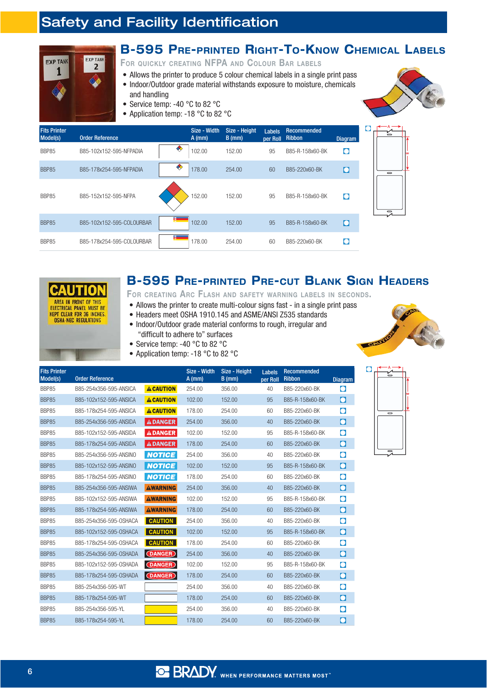

#### **B-595 PRE-PRINTED RIGHT-TO-KNOW CHEMICAL LABELS**

FOR QUICKLY CREATING NFPA AND COLOUR BAR LABELS

- Allows the printer to produce 5 colour chemical labels in a single print pass
- Indoor/Outdoor grade material withstands exposure to moisture, chemicals and handling
- Service temp: -40  $^{\circ}$ C to 82  $^{\circ}$ C
- Application temp: -18  $^{\circ}$ C to 82  $^{\circ}$ C



| <b>Fits Printer</b><br>Model(s) | <b>Order Reference</b>    |    | Size - Width<br>$A$ (mm) | Size - Height<br>$B$ (mm) | <b>Labels</b><br>per Roll | Recommended<br><b>Ribbon</b> | <b>Diagram</b> | $\equiv$                 |
|---------------------------------|---------------------------|----|--------------------------|---------------------------|---------------------------|------------------------------|----------------|--------------------------|
| <b>BBP85</b>                    | B85-102x152-595-NFPADIA   | ❤  | 102.00                   | 152.00                    | 95                        | B85-R-158x60-BK              | $\bullet$      |                          |
| BBP85                           | B85-178x254-595-NFPADIA   | ◈  | 178.00                   | 254.00                    | 60                        | B85-220x60-BK                | $\bullet$      | $\overline{\phantom{0}}$ |
| <b>BBP85</b>                    | B85-152x152-595-NFPA      |    | 152.00                   | 152.00                    | 95                        | B85-R-158x60-BK              | $\bullet$      | $\equiv$                 |
| <b>BBP85</b>                    | B85-102x152-595-COLOURBAR | E  | 102.00                   | 152.00                    | 95                        | B85-R-158x60-BK              | lo             |                          |
| <b>BBP85</b>                    | B85-178x254-595-COLOURBAR | Þ. | 178.00                   | 254.00                    | 60                        | B85-220x60-BK                |                |                          |



#### **B-595 PRE-PRINTED PRE-CUT BLANK SIGN HEADERS**

#### FOR CREATING ARC FLASH AND SAFETY WARNING LABELS IN SECONDS.

- Allows the printer to create multi-colour signs fast in a single print pass
- Headers meet OSHA 1910.145 and ASME/ANSI Z535 standards • Indoor/Outdoor grade material conforms to rough, irregular and



 $\bullet$ 

- "difficult to adhere to" surfaces • Service temp: -40 °C to 82 °C
- Application temp: -18  $^{\circ}$ C to 82  $^{\circ}$ C

| <b>Fits Printer</b><br>Model(s) | <b>Order Reference</b> |                  | Size - Width<br>$A$ (mm) | Size - Height<br>$B$ (mm) | Labels<br>per Roll | <b>Recommended</b><br><b>Ribbon</b> | <b>Diagram</b>        |
|---------------------------------|------------------------|------------------|--------------------------|---------------------------|--------------------|-------------------------------------|-----------------------|
| BBP85                           | B85-254x356-595-ANSICA | <b>A CAUTION</b> | 254.00                   | 356.00                    | 40                 | B85-220x60-BK                       | $\bullet$             |
| <b>BBP85</b>                    | B85-102x152-595-ANSICA | <b>A CAUTION</b> | 102.00                   | 152.00                    | 95                 | B85-R-158x60-BK                     | $\bullet$             |
| <b>BBP85</b>                    | B85-178x254-595-ANSICA | <b>A CAUTION</b> | 178.00                   | 254.00                    | 60                 | B85-220x60-BK                       | $\bullet$             |
| <b>BBP85</b>                    | B85-254x356-595-ANSIDA | <b>ADANGER</b>   | 254.00                   | 356.00                    | 40                 | B85-220x60-BK                       | $\bullet$             |
| <b>BBP85</b>                    | B85-102x152-595-ANSIDA | A DANGER         | 102.00                   | 152.00                    | 95                 | B85-R-158x60-BK                     | $\bullet$             |
| <b>BBP85</b>                    | B85-178x254-595-ANSIDA | <b>A DANGER</b>  | 178.00                   | 254.00                    | 60                 | B85-220x60-BK                       | $\bullet$             |
| <b>BBP85</b>                    | B85-254x356-595-ANSINO | <b>NOTICE</b>    | 254.00                   | 356.00                    | 40                 | B85-220x60-BK                       | $\bullet$             |
| BBP85                           | B85-102x152-595-ANSINO | <b>NOTICE</b>    | 102.00                   | 152.00                    | 95                 | B85-R-158x60-BK                     | $\bullet$             |
| BBP85                           | B85-178x254-595-ANSINO | <b>NOTICE</b>    | 178.00                   | 254.00                    | 60                 | B85-220x60-BK                       | $\bullet$             |
| <b>BBP85</b>                    | B85-254x356-595-ANSIWA | <b>AWARNING</b>  | 254.00                   | 356.00                    | 40                 | B85-220x60-BK                       | $\overline{\text{O}}$ |
| BBP85                           | B85-102x152-595-ANSIWA | <b>AWARNING</b>  | 102.00                   | 152.00                    | 95                 | B85-R-158x60-BK                     | $\bullet$             |
| <b>BBP85</b>                    | B85-178x254-595-ANSIWA | <b>AWARNING</b>  | 178.00                   | 254.00                    | 60                 | B85-220x60-BK                       | $\bullet$             |
| BBP85                           | B85-254x356-595-0SHACA | <b>CAUTION</b>   | 254.00                   | 356.00                    | 40                 | B85-220x60-BK                       | $\bullet$             |
| BBP85                           | B85-102x152-595-0SHACA | <b>CAUTION</b>   | 102.00                   | 152.00                    | 95                 | B85-R-158x60-BK                     | $\bullet$             |
| <b>BBP85</b>                    | B85-178x254-595-0SHACA | <b>CAUTION</b>   | 178.00                   | 254.00                    | 60                 | B85-220x60-BK                       | $\bullet$             |
| <b>BBP85</b>                    | B85-254x356-595-0SHADA | (DANGER)         | 254.00                   | 356.00                    | 40                 | B85-220x60-BK                       | $\bullet$             |
| BBP85                           | B85-102x152-595-0SHADA | (DANGER)         | 102.00                   | 152.00                    | 95                 | B85-R-158x60-BK                     | $\bullet$             |
| <b>BBP85</b>                    | B85-178x254-595-0SHADA | <b>DANGER</b>    | 178.00                   | 254.00                    | 60                 | B85-220x60-BK                       | $\bullet$             |
| BBP85                           | B85-254x356-595-WT     |                  | 254.00                   | 356.00                    | 40                 | B85-220x60-BK                       | $\bullet$             |
| <b>BBP85</b>                    | B85-178x254-595-WT     |                  | 178.00                   | 254.00                    | 60                 | B85-220x60-BK                       | $\bullet$             |
| <b>BBP85</b>                    | B85-254x356-595-YL     |                  | 254.00                   | 356.00                    | 40                 | B85-220x60-BK                       | $\bullet$             |
| <b>BBP85</b>                    | B85-178x254-595-YL     |                  | 178.00                   | 254.00                    | 60                 | B85-220x60-BK                       | $\bullet$             |
|                                 |                        |                  |                          |                           |                    |                                     |                       |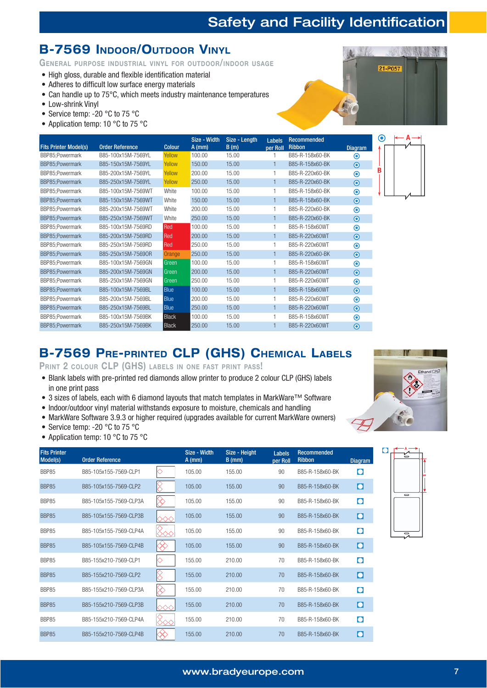21-P057

#### **B-7569 INDOOR/OUTDOOR VINYL**

GENERAL PURPOSE INDUSTRIAL VINYL FOR OUTDOOR/INDOOR USAGE

- High gloss, durable and flexible identification material
- Adheres to difficult low surface energy materials
- Can handle up to  $75^{\circ}$ C, which meets industry maintenance temperatures
- Low-shrink Vinyl
- Service temp: -20  $^{\circ}$ C to 75  $^{\circ}$ C
- Application temp: 10  $\degree$ C to 75  $\degree$ C

|                              |                        |               | Size - Width | Size - Length | Labels       | Recommended     |                             | $\left( \bullet \right)$ |  |
|------------------------------|------------------------|---------------|--------------|---------------|--------------|-----------------|-----------------------------|--------------------------|--|
| <b>Fits Printer Model(s)</b> | <b>Order Reference</b> | <b>Colour</b> | $A$ (mm)     | B(m)          | per Roll     | <b>Ribbon</b>   | Diagram                     |                          |  |
| BBP85;Powermark              | B85-100x15M-7569YL     | Yellow        | 100.00       | 15.00         |              | B85-R-158x60-BK | $\boldsymbol{\odot}$        |                          |  |
| BBP85;Powermark              | B85-150x15M-7569YL     | Yellow        | 150.00       | 15.00         | $\mathbf{1}$ | B85-R-158x60-BK | $\bullet$                   |                          |  |
| BBP85:Powermark              | B85-200x15M-7569YL     | Yellow        | 200.00       | 15.00         |              | B85-R-220x60-BK | $\boldsymbol{\circ}$        |                          |  |
| BBP85;Powermark              | B85-250x15M-7569YL     | Yellow        | 250.00       | 15.00         | $\mathbf{1}$ | B85-R-220x60-BK | $\bullet$                   |                          |  |
| BBP85;Powermark              | B85-100x15M-7569WT     | White         | 100.00       | 15.00         |              | B85-R-158x60-BK | $\odot$                     |                          |  |
| BBP85;Powermark              | B85-150x15M-7569WT     | White         | 150.00       | 15.00         | $\mathbf{1}$ | B85-R-158x60-BK | $\bullet$                   |                          |  |
| BBP85;Powermark              | B85-200x15M-7569WT     | White         | 200.00       | 15.00         |              | B85-R-220x60-BK | $\circledcirc$              |                          |  |
| BBP85;Powermark              | B85-250x15M-7569WT     | White         | 250.00       | 15.00         | $\mathbf{1}$ | B85-R-220x60-BK | $\odot$                     |                          |  |
| BBP85;Powermark              | B85-100x15M-7569RD     | Red           | 100.00       | 15.00         |              | B85-R-158x60WT  | $\boldsymbol{\circ}$        |                          |  |
| BBP85;Powermark              | B85-200x15M-7569RD     | Red           | 200.00       | 15.00         | $\mathbf{1}$ | B85-R-220x60WT  | $\bullet$                   |                          |  |
| BBP85:Powermark              | B85-250x15M-7569RD     | Red           | 250.00       | 15.00         |              | B85-R-220x60WT  | $\boldsymbol{\odot}$        |                          |  |
| BBP85;Powermark              | B85-250x15M-75690R     | Orange        | 250.00       | 15.00         |              | B85-R-220x60-BK | $\bullet$                   |                          |  |
| BBP85;Powermark              | B85-100x15M-7569GN     | Green         | 100.00       | 15.00         |              | B85-R-158x60WT  | $\odot$                     |                          |  |
| BBP85;Powermark              | B85-200x15M-7569GN     | Green         | 200.00       | 15.00         |              | B85-R-220x60WT  | $\bullet$                   |                          |  |
| BBP85;Powermark              | B85-250x15M-7569GN     | Green         | 250.00       | 15.00         |              | B85-R-220x60WT  | $\odot$                     |                          |  |
| BBP85;Powermark              | B85-100x15M-7569BL     | Blue          | 100.00       | 15.00         |              | B85-R-158x60WT  | $\bullet$                   |                          |  |
| BBP85;Powermark              | B85-200x15M-7569BL     | <b>Blue</b>   | 200.00       | 15.00         |              | B85-R-220x60WT  | $\circledcirc$              |                          |  |
| BBP85;Powermark              | B85-250x15M-7569BL     | <b>Blue</b>   | 250.00       | 15.00         |              | B85-R-220x60WT  | $\bullet$                   |                          |  |
| BBP85;Powermark              | B85-100x15M-7569BK     | <b>Black</b>  | 100.00       | 15.00         |              | B85-R-158x60WT  | $\boldsymbol{\circledcirc}$ |                          |  |
| BBP85;Powermark              | B85-250x15M-7569BK     | <b>Black</b>  | 250.00       | 15.00         |              | B85-R-220x60WT  | $\odot$                     |                          |  |

#### **B-7569 PRE-PRINTED CLP (GHS) CHEMICAL LABELS**

PRINT 2 COLOUR CLP (GHS) LABELS IN ONE FAST PRINT PASS!

- Blank labels with pre-printed red diamonds allow printer to produce 2 colour CLP (GHS) labels in one print pass
- 3 sizes of labels, each with 6 diamond layouts that match templates in MarkWare<sup>TM</sup> Software
- Indoor/outdoor vinyl material withstands exposure to moisture, chemicals and handling
- MarkWare Software 3.9.3 or higher required (upgrades available for current MarkWare owners)
- Service temp: -20  $^{\circ}$ C to 75  $^{\circ}$ C
- Application temp: 10  $\degree$ C to 75  $\degree$ C

| <b>Fits Printer</b><br>Model(s) | <b>Order Reference</b> |          | Size - Width<br>$A$ (mm) | Size - Height<br>$B$ (mm) | Labels<br>per Roll | <b>Recommended</b><br><b>Ribbon</b> | <b>Diagram</b>    |
|---------------------------------|------------------------|----------|--------------------------|---------------------------|--------------------|-------------------------------------|-------------------|
| BBP85                           | B85-105x155-7569-CLP1  | ◇        | 105.00                   | 155.00                    | 90                 | B85-R-158x60-BK                     | $\bullet$         |
| <b>BBP85</b>                    | B85-105x155-7569-CLP2  |          | 105.00                   | 155.00                    | 90                 | B85-R-158x60-BK                     | $\mathbf{\Omega}$ |
| BBP85                           | B85-105x155-7569-CLP3A |          | 105.00                   | 155.00                    | 90                 | B85-R-158x60-BK                     | $\bullet$         |
| BBP85                           | B85-105x155-7569-CLP3B | ◇◇◇      | 105.00                   | 155.00                    | 90                 | B85-R-158x60-BK                     | $\bullet$         |
| <b>BBP85</b>                    | B85-105x155-7569-CLP4A |          | 105.00                   | 155.00                    | 90                 | B85-R-158x60-BK                     | $\bullet$         |
| BBP85                           | B85-105x155-7569-CLP4B |          | 105.00                   | 155.00                    | 90                 | B85-R-158x60-BK                     | $\bullet$         |
| BBP85                           | B85-155x210-7569-CLP1  | ♦        | 155.00                   | 210.00                    | 70                 | B85-R-158x60-BK                     | $\bullet$         |
| BBP85                           | B85-155x210-7569-CLP2  | $\times$ | 155.00                   | 210.00                    | 70                 | B85-R-158x60-BK                     | $\bullet$         |
| BBP85                           | B85-155x210-7569-CLP3A | $\times$ | 155.00                   | 210.00                    | 70                 | B85-R-158x60-BK                     | $\bullet$         |
| <b>BBP85</b>                    | B85-155x210-7569-CLP3B |          | 155.00                   | 210.00                    | 70                 | B85-R-158x60-BK                     | O                 |
| BBP85                           | B85-155x210-7569-CLP4A |          | 155.00                   | 210.00                    | 70                 | B85-R-158x60-BK                     | $\bullet$         |
| <b>BBP85</b>                    | B85-155x210-7569-CLP4B |          | 155.00                   | 210.00                    | 70                 | B85-R-158x60-BK                     | $\bullet$         |



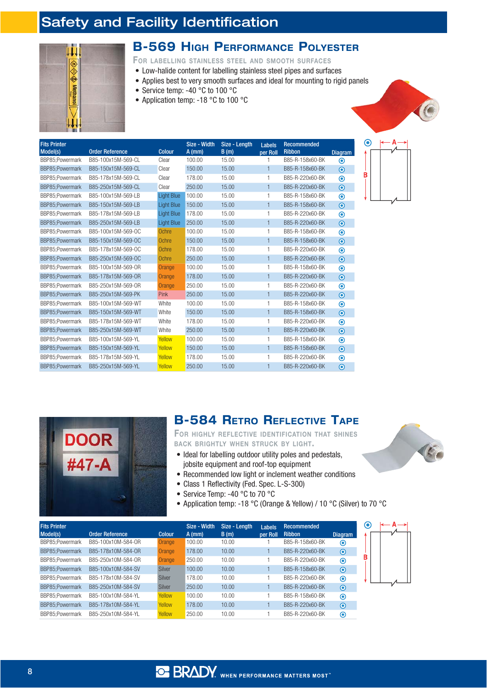

**DOOR** 

#47-A

#### **B-569 HIGH PERFORMANCE POLYESTER**

FOR LABELLING STAINLESS STEEL AND SMOOTH SURFACES

- Low-halide content for labelling stainless steel pipes and surfaces
- Applies best to very smooth surfaces and ideal for mounting to rigid panels
- Service temp: -40 $\degree$ C to 100 $\degree$ C
- Application temp: -18  $^{\circ}$ C to 100  $^{\circ}$ C

| <b>Fits Printer</b> |                                              |                        | Size - Width       | Size - Length | Labels         | <b>Recommended</b>               |                             |
|---------------------|----------------------------------------------|------------------------|--------------------|---------------|----------------|----------------------------------|-----------------------------|
| Model(s)            | <b>Order Reference</b><br>B85-100x15M-569-CL | <b>Colour</b><br>Clear | $A$ (mm)<br>100.00 | B(m)<br>15.00 | per Roll       | <b>Ribbon</b><br>B85-R-158x60-BK | <b>Diagram</b>              |
| BBP85;Powermark     |                                              |                        |                    |               |                |                                  | $\circledcirc$              |
| BBP85;Powermark     | B85-150x15M-569-CL                           | Clear                  | 150.00             | 15.00         | 1              | B85-R-158x60-BK                  | $\odot$                     |
| BBP85:Powermark     | B85-178x15M-569-CL                           | Clear                  | 178.00             | 15.00         | 1              | B85-R-220x60-BK                  | $\boldsymbol{\circledcirc}$ |
| BBP85:Powermark     | B85-250x15M-569-CL                           | Clear                  | 250.00             | 15.00         | $\mathbf{1}$   | B85-R-220x60-BK                  | $\odot$                     |
| BBP85:Powermark     | B85-100x15M-569-LB                           | <b>Light Blue</b>      | 100.00             | 15.00         | 1              | B85-R-158x60-BK                  | $\circledcirc$              |
| BBP85:Powermark     | B85-150x15M-569-LB                           | <b>Light Blue</b>      | 150.00             | 15.00         | $\mathbf{1}$   | B85-R-158x60-BK                  | $\bullet$                   |
| BBP85:Powermark     | B85-178x15M-569-LB                           | <b>Light Blue</b>      | 178.00             | 15.00         | 1              | B85-R-220x60-BK                  | $\boldsymbol{\circledcirc}$ |
| BBP85:Powermark     | B85-250x15M-569-LB                           | <b>Light Blue</b>      | 250.00             | 15.00         | 1              | B85-R-220x60-BK                  | $\bullet$                   |
| BBP85:Powermark     | B85-100x15M-569-0C                           | Ochre                  | 100.00             | 15.00         | 1              | B85-R-158x60-BK                  | $\circledcirc$              |
| BBP85:Powermark     | B85-150x15M-569-OC                           | Ochre                  | 150.00             | 15.00         | $\mathbf{1}$   | B85-R-158x60-BK                  | $\odot$                     |
| BBP85:Powermark     | B85-178x15M-569-OC                           | Ochre                  | 178.00             | 15.00         | 1              | B85-R-220x60-BK                  | $\bullet$                   |
| BBP85:Powermark     | B85-250x15M-569-OC                           | Ochre                  | 250.00             | 15.00         | $\mathbf{1}$   | B85-R-220x60-BK                  | $\bullet$                   |
| BBP85:Powermark     | B85-100x15M-569-0R                           | Orange                 | 100.00             | 15.00         | 1              | B85-R-158x60-BK                  | $\boldsymbol{\odot}$        |
| BBP85:Powermark     | B85-178x15M-569-0R                           | Orange                 | 178.00             | 15.00         | $\mathbf{1}$   | B85-R-220x60-BK                  | $\odot$                     |
| BBP85;Powermark     | B85-250x15M-569-0R                           | Orange                 | 250.00             | 15.00         | 1              | B85-R-220x60-BK                  | $\circledcirc$              |
| BBP85;Powermark     | B85-250x15M-569-PK                           | Pink                   | 250.00             | 15.00         | 1              | B85-R-220x60-BK                  | $\bullet$                   |
| BBP85:Powermark     | B85-100x15M-569-WT                           | White                  | 100.00             | 15.00         | 1              | B85-R-158x60-BK                  | $\circledcirc$              |
| BBP85:Powermark     | B85-150x15M-569-WT                           | White                  | 150.00             | 15.00         | 1              | B85-R-158x60-BK                  | $\bullet$                   |
| BBP85:Powermark     | B85-178x15M-569-WT                           | White                  | 178.00             | 15.00         | 1              | B85-R-220x60-BK                  | $\boldsymbol{\circledcirc}$ |
| BBP85:Powermark     | B85-250x15M-569-WT                           | White                  | 250.00             | 15.00         | 1              | B85-R-220x60-BK                  | $\odot$                     |
| BBP85:Powermark     | B85-100x15M-569-YL                           | Yellow                 | 100.00             | 15.00         | 1              | B85-R-158x60-BK                  | $\circledcirc$              |
| BBP85:Powermark     | B85-150x15M-569-YL                           | Yellow                 | 150.00             | 15.00         | $\mathbf{1}$   | B85-R-158x60-BK                  | $\bullet$                   |
| BBP85;Powermark     | B85-178x15M-569-YL                           | Yellow                 | 178.00             | 15.00         | 1              | B85-R-220x60-BK                  | $\boldsymbol{\circ}$        |
| BBP85:Powermark     | B85-250x15M-569-YL                           | Yellow                 | 250.00             | 15.00         | $\overline{1}$ | B85-R-220x60-BK                  | $\odot$                     |



FOR HIGHLY REFLECTIVE IDENTIFICATION THAT SHINES BACK BRIGHTLY WHEN STRUCK BY LIGHT.

- Ideal for labelling outdoor utility poles and pedestals, jobsite equipment and roof-top equipment
- Recommended low light or inclement weather conditions
- Class 1 Reflectivity (Fed. Spec. L-S-300)
- Service Temp: -40 °C to 70 °C
- Application temp: -18 °C (Orange & Yellow) / 10 °C (Silver) to 70 °C

| <b>Fits Printer</b><br>Model(s) | <b>Order Reference</b> | <b>Colour</b> | Size - Width<br>$A$ (mm) | Size - Length<br>B(m) | Labels<br>per Roll | <b>Recommended</b><br><b>Ribbon</b> | <b>Diagram</b> | C |  |
|---------------------------------|------------------------|---------------|--------------------------|-----------------------|--------------------|-------------------------------------|----------------|---|--|
| BBP85;Powermark                 | B85-100x10M-584-0R     | Orange        | 100.00                   | 10.00                 |                    | B85-R-158x60-BK                     | $\odot$        |   |  |
| BBP85;Powermark                 | B85-178x10M-584-0R     | Orange        | 178.00                   | 10.00                 |                    | B85-R-220x60-BK                     | $\bullet$      |   |  |
| BBP85:Powermark                 | B85-250x10M-584-0R     | Orange        | 250.00                   | 10.00                 |                    | B85-R-220x60-BK                     | $\odot$        | В |  |
| BBP85:Powermark                 | B85-100x10M-584-SV     | <b>Silver</b> | 100.00                   | 10.00                 |                    | B85-R-158x60-BK                     | $\odot$        |   |  |
| BBP85:Powermark                 | B85-178x10M-584-SV     | Silver        | 178.00                   | 10.00                 |                    | B85-R-220x60-BK                     | $\circledcirc$ |   |  |
| BBP85:Powermark                 | B85-250x10M-584-SV     | <b>Silver</b> | 250.00                   | 10.00                 |                    | B85-R-220x60-BK                     | $\odot$        |   |  |
| BBP85:Powermark                 | B85-100x10M-584-YL     | <b>Yellow</b> | 100.00                   | 10.00                 |                    | B85-R-158x60-BK                     | $\odot$        |   |  |
| BBP85;Powermark                 | B85-178x10M-584-YL     | Yellow        | 178.00                   | 10.00                 |                    | B85-R-220x60-BK                     | $\odot$        |   |  |
| BBP85:Powermark                 | B85-250x10M-584-YL     | Yellow        | 250.00                   | 10.00                 |                    | B85-R-220x60-BK                     | ◉              |   |  |

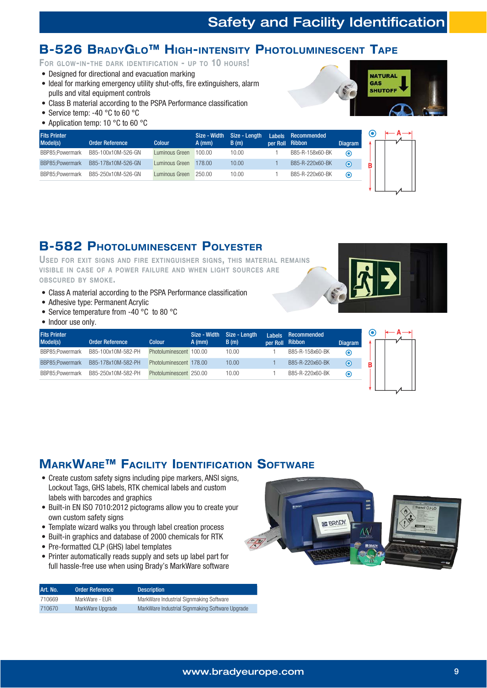#### **B-526 BRADYGLO™ HIGH-INTENSITY PHOTOLUMINESCENT TAPE**

FOR GLOW-IN-THE DARK IDENTIFICATION - UP TO 10 HOURS!

- Designed for directional and evacuation marking
- Ideal for marking emergency utility shut-offs, fire extinguishers, alarm pulls and vital equipment controls
- Class B material according to the PSPA Performance classification
- Service temp: -40  $^{\circ}$ C to 60  $^{\circ}$ C
- Application temp: 10  $^{\circ}$ C to 60  $^{\circ}$ C



| <b>Fits Printer</b> |                        |                | Size - Width | Size - Length | <b>Labels</b> | Recommended     |                   | ര |
|---------------------|------------------------|----------------|--------------|---------------|---------------|-----------------|-------------------|---|
| Model(s)            | <b>Order Reference</b> | <b>Colour</b>  | $A$ (mm)     | B(m)          | per Roll      | Ribbon          | <b>Diagram</b>    |   |
| BBP85:Powermark     | B85-100x10M-526-GN     | Luminous Green | 100.00       | 10.00         |               | B85-R-158x60-BK | $\bm{\odot}$      |   |
| BBP85:Powermark     | B85-178x10M-526-GN     | Luminous Green | 178.00       | 10.00         |               | B85-R-220x60-BK | $\mathbf{\Theta}$ | в |
| BBP85;Powermark     | B85-250x10M-526-GN     | Luminous Green | 250.00       | 10.00         |               | B85-R-220x60-BK | $\mathbf C$       |   |

#### **B-582 PHOTOLUMINESCENT POLYESTER**

USED FOR EXIT SIGNS AND FIRE EXTINGUISHER SIGNS, THIS MATERIAL REMAINS VISIBLE IN CASE OF A POWER FAILURE AND WHEN LIGHT SOURCES ARE OBSCURED BY SMOKE.

- Class A material according to the PSPA Performance classification
- $\bullet$  Adhesive type: Permanent Acrylic
- Service temperature from -40  $^{\circ}$ C to 80  $^{\circ}$ C
- Indoor use only.

| <b>Fits Printer</b> |                        |                         |        | Size - Width Size - Length | I abels         | Recommended     |                |  |
|---------------------|------------------------|-------------------------|--------|----------------------------|-----------------|-----------------|----------------|--|
| Model(s)            | <b>Order Reference</b> | <b>Colour</b>           | A (mm) | B(m)                       | per Roll Ribbon |                 | <b>Diagram</b> |  |
| BBP85:Powermark     | B85-100x10M-582-PH     | Photoluminescent 100.00 |        | 10.00                      |                 | B85-R-158x60-BK | $\bm{\odot}$   |  |
| BBP85:Powermark     | B85-178x10M-582-PH     | Photoluminescent 178.00 |        | 10.00                      |                 | B85-R-220x60-BK | $\odot$        |  |
| BBP85:Powermark     | B85-250x10M-582-PH     | Photoluminescent 250.00 |        | 10.00                      |                 | B85-R-220x60-BK | $\circ$        |  |

#### **MARKWARE™ FACILITY IDENTIFICATION SOFTWARE**

- Create custom safety signs including pipe markers, ANSI signs, Lockout Tags, GHS labels, RTK chemical labels and custom labels with barcodes and graphics
- Built-in EN ISO 7010:2012 pictograms allow you to create your own custom safety signs
- Template wizard walks you through label creation process
- Built-in graphics and database of 2000 chemicals for RTK
- Pre-formatted CLP (GHS) label templates
- Printer automatically reads supply and sets up label part for full hassle-free use when using Brady's MarkWare software

| Art. No. | <b>Order Reference</b> | <b>Description</b>                              |
|----------|------------------------|-------------------------------------------------|
| 710669   | MarkWare - EUR         | MarkWare Industrial Signmaking Software         |
| 710670   | MarkWare Upgrade       | MarkWare Industrial Signmaking Software Upgrade |



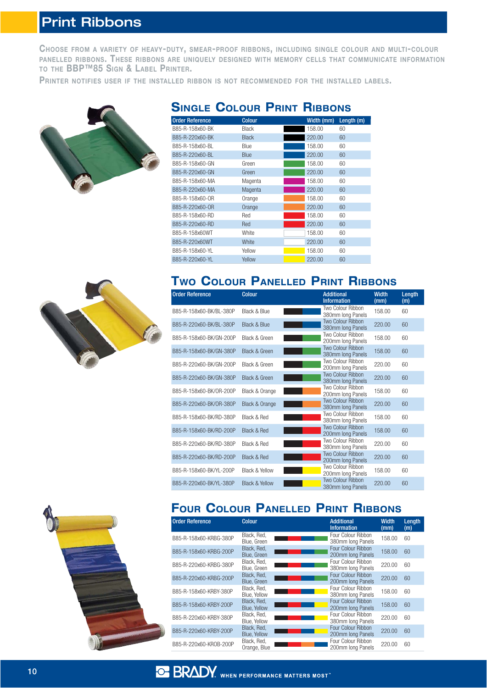## Print Ribbons

CHOOSE FROM <sup>A</sup> VARIETY OF HEAVY-DUTY, SMEAR-PROOF RIBBONS, INCLUDING SINGLE COLOUR AND MULTI-COLOUR PANELLED RIBBONS. THESE RIBBONS ARE UNIQUELY DESIGNED WITH MEMORY CELLS THAT COMMUNICATE INFORMATION TO THE BBP™85 SIGN & LABEL PRINTER.

PRINTER NOTIFIES USER IF THE INSTALLED RIBBON IS NOT RECOMMENDED FOR THE INSTALLED LABELS.



| <b>Order Reference</b> | <b>Colour</b> | Width (mm) | Length (m) |
|------------------------|---------------|------------|------------|
| B85-R-158x60-BK        | <b>Black</b>  | 158.00     | 60         |
| B85-R-220x60-BK        | <b>Black</b>  | 220.00     | 60         |
| B85-R-158x60-BL        | Blue          | 158.00     | 60         |
| B85-R-220x60-BL        | Blue          | 220.00     | 60         |
| B85-R-158x60-GN        | Green         | 158.00     | 60         |
| B85-R-220x60-GN        | Green         | 220.00     | 60         |
| B85-R-158x60-MA        | Magenta       | 158.00     | 60         |
| B85-R-220x60-MA        | Magenta       | 220.00     | 60         |
| B85-R-158x60-OR        | Orange        | 158.00     | 60         |
| B85-R-220x60-OR        | Orange        | 220.00     | 60         |
| B85-R-158x60-RD        | Red           | 158.00     | 60         |
| B85-R-220x60-RD        | Red           | 220.00     | 60         |
| B85-R-158x60WT         | White         | 158.00     | 60         |
| B85-R-220x60WT         | White         | 220.00     | 60         |
| B85-R-158x60-YL        | Yellow        | 158.00     | 60         |
| B85-R-220x60-YL        | Yellow        | 220.00     | 60         |

#### **SINGLE COLOUR PRINT RIBBONS**



#### **TWO COLOUR PANELLED PRINT RIBBONS**

| <b>Order Reference</b>  | <b>Colour</b>             | <b>Additional</b><br><b>Information</b>       | <b>Width</b><br>(mm) | Length<br>(m) |
|-------------------------|---------------------------|-----------------------------------------------|----------------------|---------------|
| B85-R-158x60-BK/BL-380P | Black & Blue              | Two Colour Ribbon<br>380mm long Panels        | 158.00               | 60            |
| B85-R-220x60-BK/BL-380P | Black & Blue              | Two Colour Ribbon<br>380mm long Panels        | 220.00               | 60            |
| B85-R-158x60-BK/GN-200P | Black & Green             | Two Colour Ribbon<br>200mm long Panels        | 158.00               | 60            |
| B85-R-158x60-BK/GN-380P | Black & Green             | <b>Two Colour Ribbon</b><br>380mm long Panels | 158.00               | 60            |
| B85-R-220x60-BK/GN-200P | Black & Green             | Two Colour Ribbon<br>200mm long Panels        | 220.00               | 60            |
| B85-R-220x60-BK/GN-380P | Black & Green             | Two Colour Ribbon<br>380mm long Panels        | 220.00               | 60            |
| B85-R-158x60-BK/OR-200P | Black & Orange            | Two Colour Ribbon<br>200mm long Panels        | 158.00               | 60            |
| B85-R-220x60-BK/OR-380P | Black & Orange            | Two Colour Ribbon<br>380mm long Panels        | 220.00               | 60            |
| B85-R-158x60-BK/RD-380P | Black & Red               | Two Colour Ribbon<br>380mm long Panels        | 158.00               | 60            |
| B85-R-158x60-BK/RD-200P | Black & Red               | Two Colour Ribbon<br>200mm long Panels        | 158.00               | 60            |
| B85-R-220x60-BK/RD-380P | Black & Red               | Two Colour Ribbon<br>380mm long Panels        | 220.00               | 60            |
| B85-R-220x60-BK/RD-200P | Black & Red               | Two Colour Ribbon<br>200mm long Panels        | 220.00               | 60            |
| B85-R-158x60-BK/YL-200P | <b>Black &amp; Yellow</b> | Two Colour Ribbon<br>200mm long Panels        | 158.00               | 60            |
| B85-R-220x60-BK/YL-380P | <b>Black &amp; Yellow</b> | Two Colour Ribbon<br>380mm long Panels        | 220.00               | 60            |



### **FOUR COLOUR PANELLED PRINT RIBBONS**

| <b>Order Reference</b> | <b>Colour</b>               | <b>Additional</b><br><b>Information</b> | <b>Width</b><br>(mm) | Length<br>(m) |
|------------------------|-----------------------------|-----------------------------------------|----------------------|---------------|
| B85-R-158x60-KRBG-380P | Black, Red,<br>Blue, Green  | Four Colour Ribbon<br>380mm long Panels | 158.00               | 60            |
| B85-R-158x60-KRBG-200P | Black, Red,<br>Blue, Green  | Four Colour Ribbon<br>200mm long Panels | 158.00               | 60            |
| B85-R-220x60-KRBG-380P | Black, Red,<br>Blue, Green  | Four Colour Ribbon<br>380mm long Panels | 220.00               | 60            |
| B85-R-220x60-KRBG-200P | Black, Red.<br>Blue, Green  | Four Colour Ribbon<br>200mm Iong Panels | 220.00               | 60            |
| B85-R-158x60-KRBY-380P | Black, Red.<br>Blue, Yellow | Four Colour Ribbon<br>380mm Iong Panels | 158.00               | 60            |
| B85-R-158x60-KRBY-200P | Black, Red,<br>Blue, Yellow | Four Colour Ribbon<br>200mm Iong Panels | 158.00               | 60            |
| B85-R-220x60-KRBY-380P | Black, Red.<br>Blue, Yellow | Four Colour Ribbon<br>380mm long Panels | 220.00               | 60            |
| B85-R-220x60-KRBY-200P | Black, Red.<br>Blue, Yellow | Four Colour Ribbon<br>200mm long Panels | 220.00               | 60            |
| B85-R-220x60-KR0B-200P | Black, Red,<br>Orange, Blue | Four Colour Ribbon<br>200mm long Panels | 220.00               | 60            |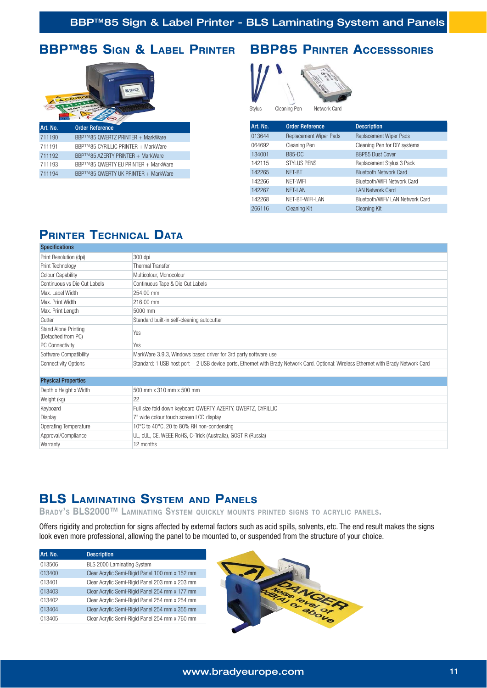#### **BBP™85 SIGN & LABEL PRINTER BBP85 PRINTER ACCESSSORIES**





Stylus Cleaning Pe

| Art. No. | <b>Order Reference</b>        | <b>Description</b>               |
|----------|-------------------------------|----------------------------------|
| 013644   | <b>Replacement Wiper Pads</b> | <b>Replacement Wiper Pads</b>    |
| 064692   | Cleaning Pen                  | Cleaning Pen for DIY systems     |
| 134001   | <b>B85-DC</b>                 | <b>BBP85 Dust Cover</b>          |
| 142115   | <b>STYLUS PENS</b>            | Replacement Stylus 3 Pack        |
| 142265   | NFT-BT                        | <b>Bluetooth Network Card</b>    |
| 142266   | NFT-WIFI                      | Bluetooth/WiFi Network Card      |
| 142267   | <b>NET-LAN</b>                | <b>LAN Network Card</b>          |
| 142268   | NET-BT-WIFI-LAN               | Bluetooth/WiFi/ LAN Network Card |
| 266116   | <b>Cleaning Kit</b>           | <b>Cleaning Kit</b>              |
|          |                               |                                  |

### **PRINTER TECHNICAL DATA**

| <b>Specifications</b>                             |                                                                                                                                       |
|---------------------------------------------------|---------------------------------------------------------------------------------------------------------------------------------------|
| Print Resolution (dpi)                            | 300 dpi                                                                                                                               |
| Print Technology                                  | <b>Thermal Transfer</b>                                                                                                               |
| <b>Colour Capability</b>                          | Multicolour, Monocolour                                                                                                               |
| Continuous vs Die Cut Labels                      | Continuous Tape & Die Cut Labels                                                                                                      |
| Max. Label Width                                  | 254.00 mm                                                                                                                             |
| Max. Print Width                                  | 216.00 mm                                                                                                                             |
| Max. Print Length                                 | 5000 mm                                                                                                                               |
| Cutter                                            | Standard built-in self-cleaning autocutter                                                                                            |
| <b>Stand Alone Printing</b><br>(Detached from PC) | Yes                                                                                                                                   |
| PC Connectivity                                   | Yes                                                                                                                                   |
| Software Compatibility                            | MarkWare 3.9.3, Windows based driver for 3rd party software use                                                                       |
| <b>Connectivity Options</b>                       | Standard: 1 USB host port + 2 USB device ports, Ethernet with Brady Network Card. Optional: Wireless Ethernet with Brady Network Card |
|                                                   |                                                                                                                                       |
| <b>Physical Properties</b>                        |                                                                                                                                       |
| Depth x Height x Width                            | 500 mm x 310 mm x 500 mm                                                                                                              |
| Weight (kg)                                       | 22                                                                                                                                    |
| Keyboard                                          | Full size fold down keyboard QWERTY, AZERTY, QWERTZ, CYRILLIC                                                                         |
| Display                                           | 7" wide colour touch screen LCD display                                                                                               |
| <b>Operating Temperature</b>                      | 10°C to 40°C, 20 to 80% RH non-condensing                                                                                             |
| Approval/Compliance                               | UL, cUL, CE, WEEE RoHS, C-Trick (Australia), GOST R (Russia)                                                                          |
| Warranty                                          | 12 months                                                                                                                             |

#### **BLS LAMINATING SYSTEM AND PANELS**

BRADY'S BLS2000™ LAMINATING SYSTEM QUICKLY MOUNTS PRINTED SIGNS TO ACRYLIC PANELS.

Offers rigidity and protection for signs affected by external factors such as acid spills, solvents, etc. The end result makes the signs look even more professional, allowing the panel to be mounted to, or suspended from the structure of your choice.

| Art. No. | <b>Description</b>                             |
|----------|------------------------------------------------|
| 013506   | BLS 2000 Laminating System                     |
| 013400   | Clear Acrylic Semi-Rigid Panel 100 mm x 152 mm |
| 013401   | Clear Acrylic Semi-Rigid Panel 203 mm x 203 mm |
| 013403   | Clear Acrylic Semi-Rigid Panel 254 mm x 177 mm |
| 013402   | Clear Acrylic Semi-Rigid Panel 254 mm x 254 mm |
| 013404   | Clear Acrylic Semi-Rigid Panel 254 mm x 355 mm |
| 013405   | Clear Acrylic Semi-Rigid Panel 254 mm x 760 mm |